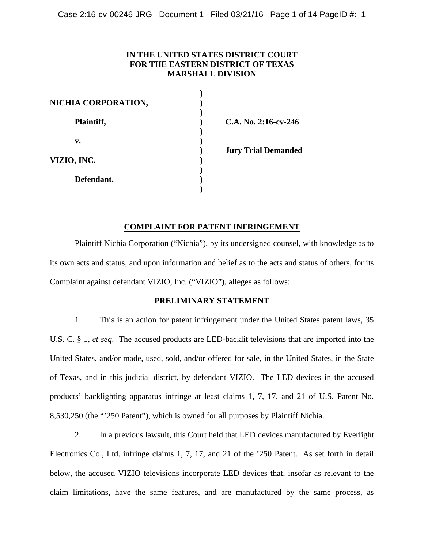## **IN THE UNITED STATES DISTRICT COURT FOR THE EASTERN DISTRICT OF TEXAS MARSHALL DIVISION**

| NICHIA CORPORATION, |                            |
|---------------------|----------------------------|
| Plaintiff,          | $C.A. No. 2:16-cv-246$     |
| v.                  |                            |
| VIZIO, INC.         | <b>Jury Trial Demanded</b> |
| Defendant.          |                            |

### **COMPLAINT FOR PATENT INFRINGEMENT**

 Plaintiff Nichia Corporation ("Nichia"), by its undersigned counsel, with knowledge as to its own acts and status, and upon information and belief as to the acts and status of others, for its Complaint against defendant VIZIO, Inc. ("VIZIO"), alleges as follows:

### **PRELIMINARY STATEMENT**

1. This is an action for patent infringement under the United States patent laws, 35 U.S. C. § 1, *et seq*. The accused products are LED-backlit televisions that are imported into the United States, and/or made, used, sold, and/or offered for sale, in the United States, in the State of Texas, and in this judicial district, by defendant VIZIO. The LED devices in the accused products' backlighting apparatus infringe at least claims 1, 7, 17, and 21 of U.S. Patent No. 8,530,250 (the "'250 Patent"), which is owned for all purposes by Plaintiff Nichia.

2. In a previous lawsuit, this Court held that LED devices manufactured by Everlight Electronics Co., Ltd. infringe claims 1, 7, 17, and 21 of the '250 Patent. As set forth in detail below, the accused VIZIO televisions incorporate LED devices that, insofar as relevant to the claim limitations, have the same features, and are manufactured by the same process, as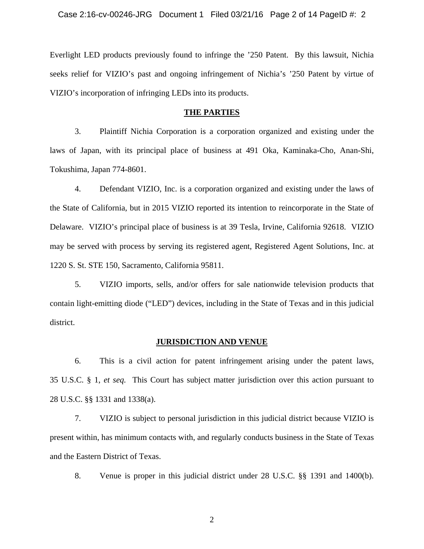Everlight LED products previously found to infringe the '250 Patent. By this lawsuit, Nichia seeks relief for VIZIO's past and ongoing infringement of Nichia's '250 Patent by virtue of VIZIO's incorporation of infringing LEDs into its products.

### **THE PARTIES**

3. Plaintiff Nichia Corporation is a corporation organized and existing under the laws of Japan, with its principal place of business at 491 Oka, Kaminaka-Cho, Anan-Shi, Tokushima, Japan 774-8601.

4. Defendant VIZIO, Inc. is a corporation organized and existing under the laws of the State of California, but in 2015 VIZIO reported its intention to reincorporate in the State of Delaware. VIZIO's principal place of business is at 39 Tesla, Irvine, California 92618. VIZIO may be served with process by serving its registered agent, Registered Agent Solutions, Inc. at 1220 S. St. STE 150, Sacramento, California 95811.

5. VIZIO imports, sells, and/or offers for sale nationwide television products that contain light-emitting diode ("LED") devices, including in the State of Texas and in this judicial district.

### **JURISDICTION AND VENUE**

6. This is a civil action for patent infringement arising under the patent laws, 35 U.S.C. § 1, *et seq.* This Court has subject matter jurisdiction over this action pursuant to 28 U.S.C. §§ 1331 and 1338(a).

7. VIZIO is subject to personal jurisdiction in this judicial district because VIZIO is present within, has minimum contacts with, and regularly conducts business in the State of Texas and the Eastern District of Texas.

8. Venue is proper in this judicial district under 28 U.S.C. §§ 1391 and 1400(b).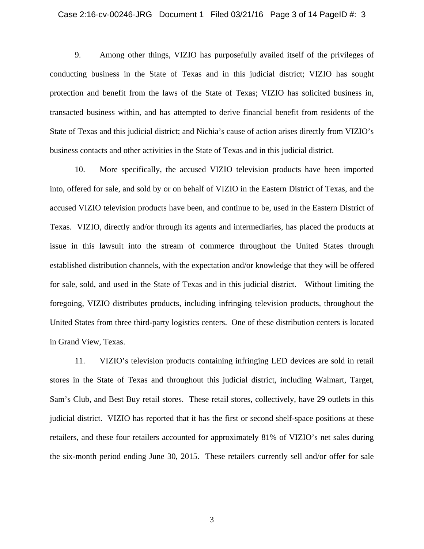#### Case 2:16-cv-00246-JRG Document 1 Filed 03/21/16 Page 3 of 14 PageID #: 3

9. Among other things, VIZIO has purposefully availed itself of the privileges of conducting business in the State of Texas and in this judicial district; VIZIO has sought protection and benefit from the laws of the State of Texas; VIZIO has solicited business in, transacted business within, and has attempted to derive financial benefit from residents of the State of Texas and this judicial district; and Nichia's cause of action arises directly from VIZIO's business contacts and other activities in the State of Texas and in this judicial district.

10. More specifically, the accused VIZIO television products have been imported into, offered for sale, and sold by or on behalf of VIZIO in the Eastern District of Texas, and the accused VIZIO television products have been, and continue to be, used in the Eastern District of Texas. VIZIO, directly and/or through its agents and intermediaries, has placed the products at issue in this lawsuit into the stream of commerce throughout the United States through established distribution channels, with the expectation and/or knowledge that they will be offered for sale, sold, and used in the State of Texas and in this judicial district. Without limiting the foregoing, VIZIO distributes products, including infringing television products, throughout the United States from three third-party logistics centers. One of these distribution centers is located in Grand View, Texas.

11. VIZIO's television products containing infringing LED devices are sold in retail stores in the State of Texas and throughout this judicial district, including Walmart, Target, Sam's Club, and Best Buy retail stores. These retail stores, collectively, have 29 outlets in this judicial district. VIZIO has reported that it has the first or second shelf-space positions at these retailers, and these four retailers accounted for approximately 81% of VIZIO's net sales during the six-month period ending June 30, 2015. These retailers currently sell and/or offer for sale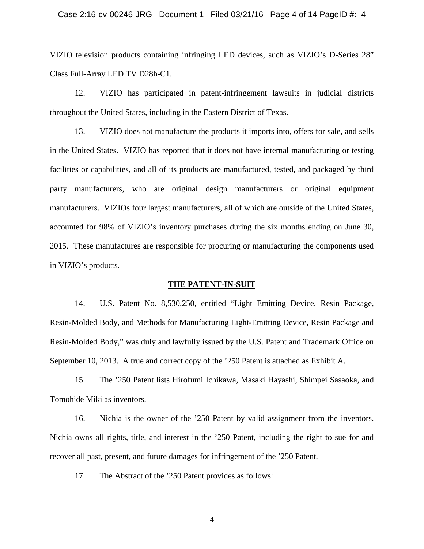### Case 2:16-cv-00246-JRG Document 1 Filed 03/21/16 Page 4 of 14 PageID #: 4

VIZIO television products containing infringing LED devices, such as VIZIO's D-Series 28" Class Full-Array LED TV D28h-C1.

12. VIZIO has participated in patent-infringement lawsuits in judicial districts throughout the United States, including in the Eastern District of Texas.

13. VIZIO does not manufacture the products it imports into, offers for sale, and sells in the United States. VIZIO has reported that it does not have internal manufacturing or testing facilities or capabilities, and all of its products are manufactured, tested, and packaged by third party manufacturers, who are original design manufacturers or original equipment manufacturers. VIZIOs four largest manufacturers, all of which are outside of the United States, accounted for 98% of VIZIO's inventory purchases during the six months ending on June 30, 2015. These manufactures are responsible for procuring or manufacturing the components used in VIZIO's products.

### **THE PATENT-IN-SUIT**

14. U.S. Patent No. 8,530,250, entitled "Light Emitting Device, Resin Package, Resin-Molded Body, and Methods for Manufacturing Light-Emitting Device, Resin Package and Resin-Molded Body," was duly and lawfully issued by the U.S. Patent and Trademark Office on September 10, 2013. A true and correct copy of the '250 Patent is attached as Exhibit A.

15. The '250 Patent lists Hirofumi Ichikawa, Masaki Hayashi, Shimpei Sasaoka, and Tomohide Miki as inventors.

16. Nichia is the owner of the '250 Patent by valid assignment from the inventors. Nichia owns all rights, title, and interest in the '250 Patent, including the right to sue for and recover all past, present, and future damages for infringement of the '250 Patent.

17. The Abstract of the '250 Patent provides as follows: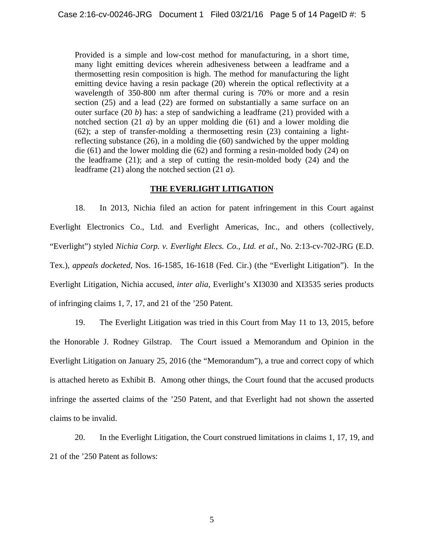Provided is a simple and low-cost method for manufacturing, in a short time, many light emitting devices wherein adhesiveness between a leadframe and a thermosetting resin composition is high. The method for manufacturing the light emitting device having a resin package (20) wherein the optical reflectivity at a wavelength of 350-800 nm after thermal curing is 70% or more and a resin section (25) and a lead (22) are formed on substantially a same surface on an outer surface (20 *b*) has: a step of sandwiching a leadframe (21) provided with a notched section (21 *a*) by an upper molding die (61) and a lower molding die (62); a step of transfer-molding a thermosetting resin (23) containing a lightreflecting substance (26), in a molding die (60) sandwiched by the upper molding die (61) and the lower molding die (62) and forming a resin-molded body (24) on the leadframe (21); and a step of cutting the resin-molded body (24) and the leadframe (21) along the notched section (21 *a*).

## **THE EVERLIGHT LITIGATION**

18. In 2013, Nichia filed an action for patent infringement in this Court against Everlight Electronics Co., Ltd. and Everlight Americas, Inc., and others (collectively, "Everlight") styled *Nichia Corp. v. Everlight Elecs. Co., Ltd. et al.*, No. 2:13-cv-702-JRG (E.D. Tex.), *appeals docketed,* Nos. 16-1585, 16-1618 (Fed. Cir.) (the "Everlight Litigation"). In the Everlight Litigation, Nichia accused, *inter alia*, Everlight's XI3030 and XI3535 series products of infringing claims 1, 7, 17, and 21 of the '250 Patent.

19. The Everlight Litigation was tried in this Court from May 11 to 13, 2015, before the Honorable J. Rodney Gilstrap. The Court issued a Memorandum and Opinion in the Everlight Litigation on January 25, 2016 (the "Memorandum"), a true and correct copy of which is attached hereto as Exhibit B. Among other things, the Court found that the accused products infringe the asserted claims of the '250 Patent, and that Everlight had not shown the asserted claims to be invalid.

20. In the Everlight Litigation, the Court construed limitations in claims 1, 17, 19, and 21 of the '250 Patent as follows: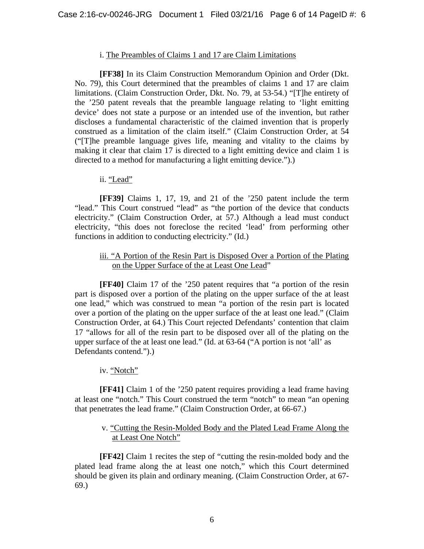## i. The Preambles of Claims 1 and 17 are Claim Limitations

**[FF38]** In its Claim Construction Memorandum Opinion and Order (Dkt. No. 79), this Court determined that the preambles of claims 1 and 17 are claim limitations. (Claim Construction Order, Dkt. No. 79, at 53-54.) "[T]he entirety of the '250 patent reveals that the preamble language relating to 'light emitting device' does not state a purpose or an intended use of the invention, but rather discloses a fundamental characteristic of the claimed invention that is properly construed as a limitation of the claim itself." (Claim Construction Order, at 54 ("[T]he preamble language gives life, meaning and vitality to the claims by making it clear that claim 17 is directed to a light emitting device and claim 1 is directed to a method for manufacturing a light emitting device.").)

## ii. "Lead"

**[FF39]** Claims 1, 17, 19, and 21 of the '250 patent include the term "lead." This Court construed "lead" as "the portion of the device that conducts electricity." (Claim Construction Order, at 57.) Although a lead must conduct electricity, "this does not foreclose the recited 'lead' from performing other functions in addition to conducting electricity." (Id.)

## iii. "A Portion of the Resin Part is Disposed Over a Portion of the Plating on the Upper Surface of the at Least One Lead"

**[FF40]** Claim 17 of the '250 patent requires that "a portion of the resin part is disposed over a portion of the plating on the upper surface of the at least one lead," which was construed to mean "a portion of the resin part is located over a portion of the plating on the upper surface of the at least one lead." (Claim Construction Order, at 64.) This Court rejected Defendants' contention that claim 17 "allows for all of the resin part to be disposed over all of the plating on the upper surface of the at least one lead." (Id. at 63-64 ("A portion is not 'all' as Defendants contend.").)

## iv. "Notch"

**[FF41]** Claim 1 of the '250 patent requires providing a lead frame having at least one "notch." This Court construed the term "notch" to mean "an opening that penetrates the lead frame." (Claim Construction Order, at 66-67.)

## v. "Cutting the Resin-Molded Body and the Plated Lead Frame Along the at Least One Notch"

**[FF42]** Claim 1 recites the step of "cutting the resin-molded body and the plated lead frame along the at least one notch," which this Court determined should be given its plain and ordinary meaning. (Claim Construction Order, at 67- 69.)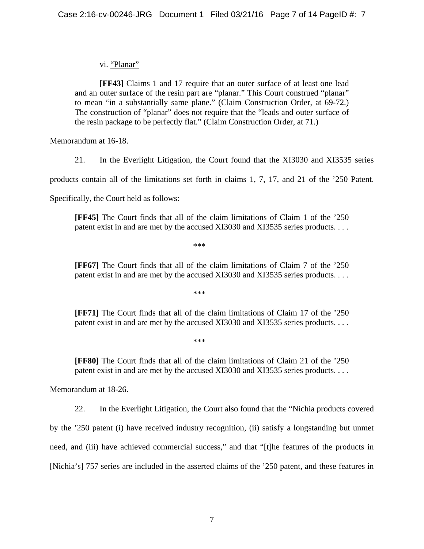vi. "Planar"

**[FF43]** Claims 1 and 17 require that an outer surface of at least one lead and an outer surface of the resin part are "planar." This Court construed "planar" to mean "in a substantially same plane." (Claim Construction Order, at 69-72.) The construction of "planar" does not require that the "leads and outer surface of the resin package to be perfectly flat." (Claim Construction Order, at 71.)

Memorandum at 16-18.

21. In the Everlight Litigation, the Court found that the XI3030 and XI3535 series

products contain all of the limitations set forth in claims 1, 7, 17, and 21 of the '250 Patent.

Specifically, the Court held as follows:

**[FF45]** The Court finds that all of the claim limitations of Claim 1 of the '250 patent exist in and are met by the accused XI3030 and XI3535 series products. . . .

\*\*\*

**[FF67]** The Court finds that all of the claim limitations of Claim 7 of the '250 patent exist in and are met by the accused XI3030 and XI3535 series products. . . .

\*\*\*

**[FF71]** The Court finds that all of the claim limitations of Claim 17 of the '250 patent exist in and are met by the accused XI3030 and XI3535 series products. . . .

\*\*\*

**[FF80]** The Court finds that all of the claim limitations of Claim 21 of the '250 patent exist in and are met by the accused XI3030 and XI3535 series products. . . .

Memorandum at 18-26.

22. In the Everlight Litigation, the Court also found that the "Nichia products covered

by the '250 patent (i) have received industry recognition, (ii) satisfy a longstanding but unmet

need, and (iii) have achieved commercial success," and that "[t]he features of the products in

[Nichia's] 757 series are included in the asserted claims of the '250 patent, and these features in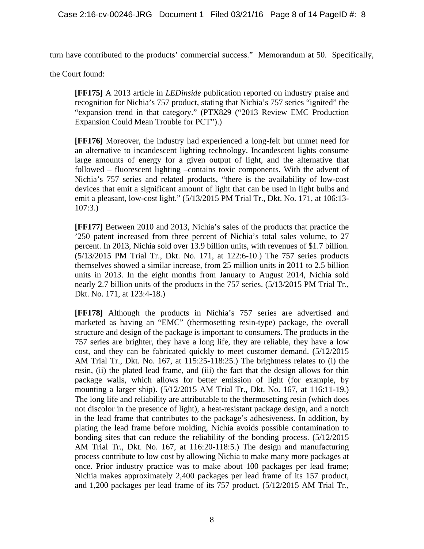turn have contributed to the products' commercial success." Memorandum at 50. Specifically,

the Court found:

**[FF175]** A 2013 article in *LEDinside* publication reported on industry praise and recognition for Nichia's 757 product, stating that Nichia's 757 series "ignited" the "expansion trend in that category." (PTX829 ("2013 Review EMC Production Expansion Could Mean Trouble for PCT").)

**[FF176]** Moreover, the industry had experienced a long-felt but unmet need for an alternative to incandescent lighting technology. Incandescent lights consume large amounts of energy for a given output of light, and the alternative that followed – fluorescent lighting –contains toxic components. With the advent of Nichia's 757 series and related products, "there is the availability of low-cost devices that emit a significant amount of light that can be used in light bulbs and emit a pleasant, low-cost light." (5/13/2015 PM Trial Tr., Dkt. No. 171, at 106:13- 107:3.)

**[FF177]** Between 2010 and 2013, Nichia's sales of the products that practice the '250 patent increased from three percent of Nichia's total sales volume, to 27 percent. In 2013, Nichia sold over 13.9 billion units, with revenues of \$1.7 billion. (5/13/2015 PM Trial Tr., Dkt. No. 171, at 122:6-10.) The 757 series products themselves showed a similar increase, from 25 million units in 2011 to 2.5 billion units in 2013. In the eight months from January to August 2014, Nichia sold nearly 2.7 billion units of the products in the 757 series. (5/13/2015 PM Trial Tr., Dkt. No. 171, at 123:4-18.)

**[FF178]** Although the products in Nichia's 757 series are advertised and marketed as having an "EMC" (thermosetting resin-type) package, the overall structure and design of the package is important to consumers. The products in the 757 series are brighter, they have a long life, they are reliable, they have a low cost, and they can be fabricated quickly to meet customer demand. (5/12/2015 AM Trial Tr., Dkt. No. 167, at 115:25-118:25.) The brightness relates to (i) the resin, (ii) the plated lead frame, and (iii) the fact that the design allows for thin package walls, which allows for better emission of light (for example, by mounting a larger ship). (5/12/2015 AM Trial Tr., Dkt. No. 167, at 116:11-19.) The long life and reliability are attributable to the thermosetting resin (which does not discolor in the presence of light), a heat-resistant package design, and a notch in the lead frame that contributes to the package's adhesiveness. In addition, by plating the lead frame before molding, Nichia avoids possible contamination to bonding sites that can reduce the reliability of the bonding process. (5/12/2015 AM Trial Tr., Dkt. No. 167, at 116:20-118:5.) The design and manufacturing process contribute to low cost by allowing Nichia to make many more packages at once. Prior industry practice was to make about 100 packages per lead frame; Nichia makes approximately 2,400 packages per lead frame of its 157 product, and 1,200 packages per lead frame of its 757 product. (5/12/2015 AM Trial Tr.,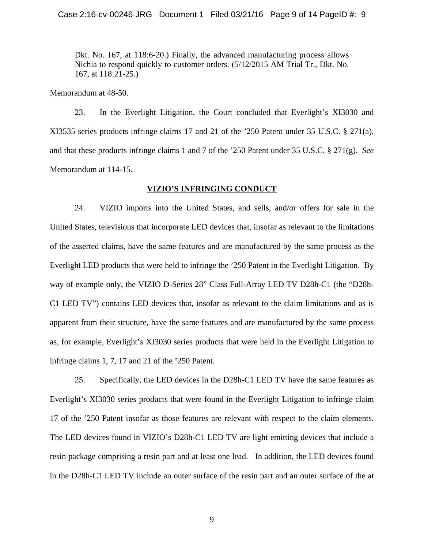Dkt. No. 167, at 118:6-20.) Finally, the advanced manufacturing process allows Nichia to respond quickly to customer orders. (5/12/2015 AM Trial Tr., Dkt. No. 167, at 118:21-25.)

Memorandum at 48-50.

23. In the Everlight Litigation, the Court concluded that Everlight's XI3030 and XI3535 series products infringe claims 17 and 21 of the '250 Patent under 35 U.S.C. § 271(a), and that these products infringe claims 1 and 7 of the '250 Patent under 35 U.S.C. § 271(g). *See*  Memorandum at 114-15.

### **VIZIO'S INFRINGING CONDUCT**

24. VIZIO imports into the United States, and sells, and/or offers for sale in the United States, televisions that incorporate LED devices that, insofar as relevant to the limitations of the asserted claims, have the same features and are manufactured by the same process as the Everlight LED products that were held to infringe the '250 Patent in the Everlight Litigation. By way of example only, the VIZIO D-Series 28" Class Full-Array LED TV D28h-C1 (the "D28h-C1 LED TV") contains LED devices that, insofar as relevant to the claim limitations and as is apparent from their structure, have the same features and are manufactured by the same process as, for example, Everlight's XI3030 series products that were held in the Everlight Litigation to infringe claims 1, 7, 17 and 21 of the '250 Patent.

25. Specifically, the LED devices in the D28h-C1 LED TV have the same features as Everlight's XI3030 series products that were found in the Everlight Litigation to infringe claim 17 of the '250 Patent insofar as those features are relevant with respect to the claim elements. The LED devices found in VIZIO's D28h-C1 LED TV are light emitting devices that include a resin package comprising a resin part and at least one lead. In addition, the LED devices found in the D28h-C1 LED TV include an outer surface of the resin part and an outer surface of the at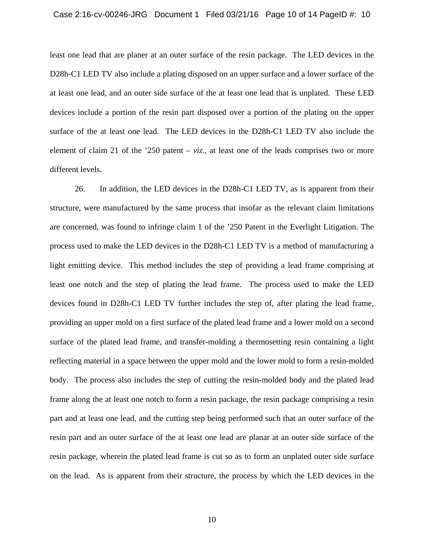#### Case 2:16-cv-00246-JRG Document 1 Filed 03/21/16 Page 10 of 14 PageID #: 10

least one lead that are planer at an outer surface of the resin package. The LED devices in the D28h-C1 LED TV also include a plating disposed on an upper surface and a lower surface of the at least one lead, and an outer side surface of the at least one lead that is unplated. These LED devices include a portion of the resin part disposed over a portion of the plating on the upper surface of the at least one lead. The LED devices in the D28h-C1 LED TV also include the element of claim 21 of the '250 patent – *viz*.*,* at least one of the leads comprises two or more different levels.

26. In addition, the LED devices in the D28h-C1 LED TV, as is apparent from their structure, were manufactured by the same process that insofar as the relevant claim limitations are concerned, was found to infringe claim 1 of the '250 Patent in the Everlight Litigation. The process used to make the LED devices in the D28h-C1 LED TV is a method of manufacturing a light emitting device. This method includes the step of providing a lead frame comprising at least one notch and the step of plating the lead frame. The process used to make the LED devices found in D28h-C1 LED TV further includes the step of, after plating the lead frame, providing an upper mold on a first surface of the plated lead frame and a lower mold on a second surface of the plated lead frame, and transfer-molding a thermosetting resin containing a light reflecting material in a space between the upper mold and the lower mold to form a resin-molded body. The process also includes the step of cutting the resin-molded body and the plated lead frame along the at least one notch to form a resin package, the resin package comprising a resin part and at least one lead, and the cutting step being performed such that an outer surface of the resin part and an outer surface of the at least one lead are planar at an outer side surface of the resin package, wherein the plated lead frame is cut so as to form an unplated outer side surface on the lead. As is apparent from their structure, the process by which the LED devices in the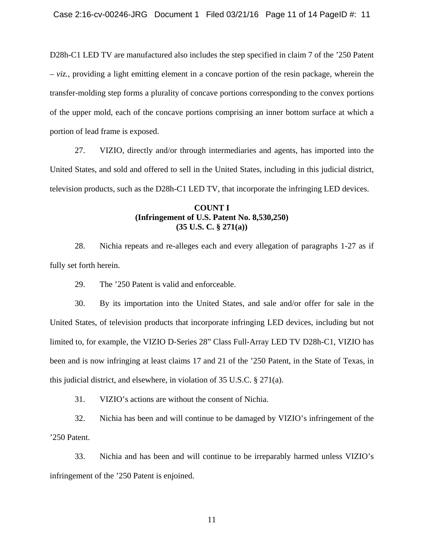D28h-C1 LED TV are manufactured also includes the step specified in claim 7 of the '250 Patent  $- viz$ , providing a light emitting element in a concave portion of the resin package, wherein the transfer-molding step forms a plurality of concave portions corresponding to the convex portions of the upper mold, each of the concave portions comprising an inner bottom surface at which a portion of lead frame is exposed.

27. VIZIO, directly and/or through intermediaries and agents, has imported into the United States, and sold and offered to sell in the United States, including in this judicial district, television products, such as the D28h-C1 LED TV, that incorporate the infringing LED devices.

## **COUNT I (Infringement of U.S. Patent No. 8,530,250) (35 U.S. C. § 271(a))**

28. Nichia repeats and re-alleges each and every allegation of paragraphs 1-27 as if fully set forth herein.

29. The '250 Patent is valid and enforceable.

30. By its importation into the United States, and sale and/or offer for sale in the United States, of television products that incorporate infringing LED devices, including but not limited to, for example, the VIZIO D-Series 28" Class Full-Array LED TV D28h-C1, VIZIO has been and is now infringing at least claims 17 and 21 of the '250 Patent, in the State of Texas, in this judicial district, and elsewhere, in violation of 35 U.S.C. § 271(a).

31. VIZIO's actions are without the consent of Nichia.

32. Nichia has been and will continue to be damaged by VIZIO's infringement of the '250 Patent.

33. Nichia and has been and will continue to be irreparably harmed unless VIZIO's infringement of the '250 Patent is enjoined.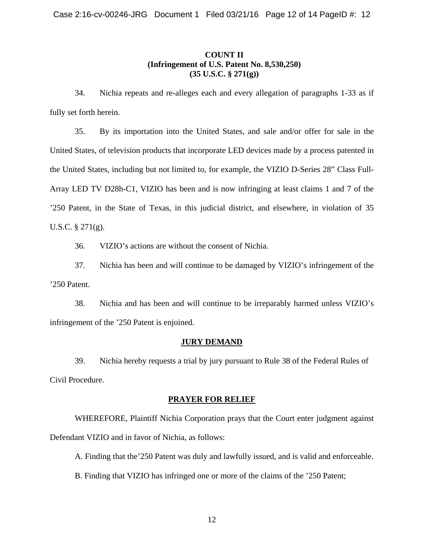# **COUNT II (Infringement of U.S. Patent No. 8,530,250) (35 U.S.C. § 271(g))**

34. Nichia repeats and re-alleges each and every allegation of paragraphs 1-33 as if fully set forth herein.

35. By its importation into the United States, and sale and/or offer for sale in the United States, of television products that incorporate LED devices made by a process patented in the United States, including but not limited to, for example, the VIZIO D-Series 28" Class Full-Array LED TV D28h-C1, VIZIO has been and is now infringing at least claims 1 and 7 of the '250 Patent, in the State of Texas, in this judicial district, and elsewhere, in violation of 35 U.S.C. § 271(g).

36. VIZIO's actions are without the consent of Nichia.

37. Nichia has been and will continue to be damaged by VIZIO's infringement of the '250 Patent.

38. Nichia and has been and will continue to be irreparably harmed unless VIZIO's infringement of the '250 Patent is enjoined.

# **JURY DEMAND**

39. Nichia hereby requests a trial by jury pursuant to Rule 38 of the Federal Rules of Civil Procedure.

## **PRAYER FOR RELIEF**

WHEREFORE, Plaintiff Nichia Corporation prays that the Court enter judgment against Defendant VIZIO and in favor of Nichia, as follows:

A. Finding that the'250 Patent was duly and lawfully issued, and is valid and enforceable.

B. Finding that VIZIO has infringed one or more of the claims of the '250 Patent;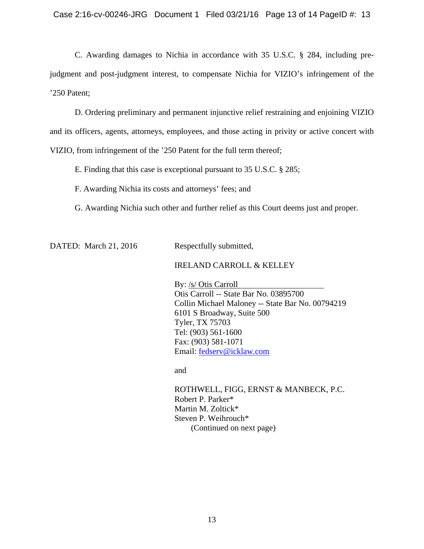C. Awarding damages to Nichia in accordance with 35 U.S.C. § 284, including prejudgment and post-judgment interest, to compensate Nichia for VIZIO's infringement of the '250 Patent;

D. Ordering preliminary and permanent injunctive relief restraining and enjoining VIZIO and its officers, agents, attorneys, employees, and those acting in privity or active concert with VIZIO, from infringement of the '250 Patent for the full term thereof;

E. Finding that this case is exceptional pursuant to 35 U.S.C. § 285;

F. Awarding Nichia its costs and attorneys' fees; and

G. Awarding Nichia such other and further relief as this Court deems just and proper.

DATED: March 21, 2016 Respectfully submitted,

## IRELAND CARROLL & KELLEY

By: /s/ Otis Carroll Otis Carroll -- State Bar No. 03895700 Collin Michael Maloney -- State Bar No. 00794219 6101 S Broadway, Suite 500 Tyler, TX 75703 Tel: (903) 561-1600 Fax: (903) 581-1071 Email: fedserv@icklaw.com

and

 ROTHWELL, FIGG, ERNST & MANBECK, P.C. Robert P. Parker\* Martin M. Zoltick\* Steven P. Weihrouch\* (Continued on next page)